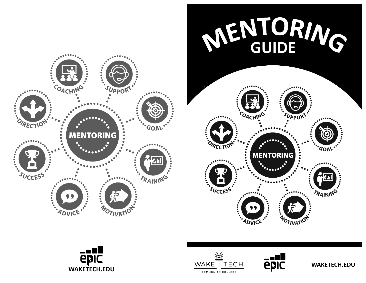







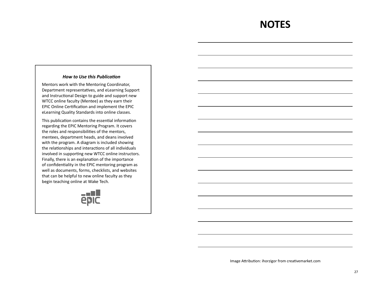### **NOTES**

#### **How to Use this Publication**

Mentors work with the Mentoring Coordinator, Department representatives, and eLearning Support and Instructional Design to guide and support new WTCC online faculty (Mentee) as they earn their EPIC Online Certification and implement the EPIC eLearning Quality Standards into online classes.

This publication contains the essential information regarding the EPIC Mentoring Program. It covers the roles and responsibilities of the mentors, mentees, department heads, and deans involved with the program. A diagram is included showing the relationships and interactions of all individuals involved in supporting new WTCC online instructors. Finally, there is an explanation of the importance of confidentiality in the EPIC mentoring program as well as documents, forms, checklists, and websites that can be helpful to new online faculty as they begin teaching online at Wake Tech.



Image Attribution: ihorzigor from creativemarket.com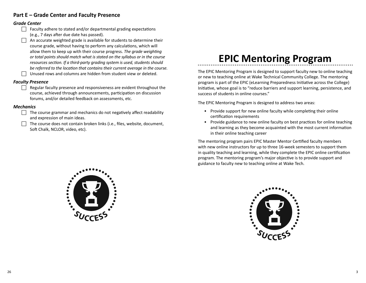#### **Part E – Grade Center and Faculty Presence**

#### *Grade Center*

- $\Box$  Faculty adhere to stated and/or departmental grading expectations (e.g., 7 days after due date has passed).
- An accurate weighted grade is available for students to determine their course grade, without having to perform any calculations, which will allow them to keep up with their course progress. The grade weighting *or total points should match what is stated on the syllabus or in the course resources section. If a third-party grading system is used, students should be referred to the location that contains their current average in the course.* Unused rows and columns are hidden from student view or deleted.

#### *Faculty Presence*

 $\Box$  Regular faculty presence and responsiveness are evident throughout the course, achieved through announcements, participation on discussion forums, and/or detailed feedback on assessments, etc.

#### *Mechanics*

- $\Box$  The course grammar and mechanics do not negatively affect readability and expression of main ideas.
	- The course does not contain broken links (i.e., files, website, document, Soft Chalk, NCLOR, video, etc).

## **EPIC Mentoring Program**

The EPIC Mentoring Program is designed to support faculty new to online teaching or new to teaching online at Wake Technical Community College. The mentoring program is part of the EPIC (eLearning Preparedness Initiative across the College) Initiative, whose goal is to "reduce barriers and support learning, persistence, and success of students in online courses."

The EPIC Mentoring Program is designed to address two areas:

- Provide support for new online faculty while completing their online certification requirements
- Provide guidance to new online faculty on best practices for online teaching and learning as they become acquainted with the most current information in their online teaching career

The mentoring program pairs EPIC Master Mentor Certified faculty members with new online instructors for up to three 16-week semesters to support them in quality teaching and learning, while they complete the EPIC online certification program. The mentoring program's major objective is to provide support and guidance to faculty new to teaching online at Wake Tech.



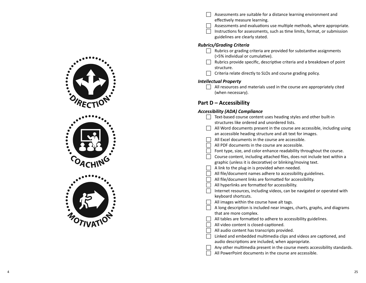

| Assessments are suitable for a distance learning environment and |
|------------------------------------------------------------------|
| effectively measure learning.                                    |

- $\Box$  Assessments and evaluations use multiple methods, where appropriate.
- $\Box$  Instructions for assessments, such as time limits, format, or submission guidelines are clearly stated.

#### *Rubrics/Grading Criteria*

- $\Box$  Rubrics or grading criteria are provided for substantive assignments (>5% individual or cumulative).
- $\Box$  Rubrics provide specific, descriptive criteria and a breakdown of point structure.
- $\Box$  Criteria relate directly to SLOs and course grading policy.

#### *Intellectual Property*

 $\Box$  All resources and materials used in the course are appropriately cited (when necessary).

#### **Part D – Accessibility**

#### *Accessibility (ADA) Compliance*

| Text-based course content uses heading styles and other built-in          |
|---------------------------------------------------------------------------|
| structures like ordered and unordered lists.                              |
| All Word documents present in the course are accessible, including using  |
| an accessible heading structure and alt text for images.                  |
| All Excel documents in the course are accessible.                         |
| All PDF documents in the course are accessible.                           |
| Font type, size, and color enhance readability throughout the course.     |
| Course content, including attached files, does not include text within a  |
| graphic (unless it is decorative) or blinking/moving text.                |
| A link to the plug-in is provided when needed.                            |
| All file/document names adhere to accessibility guidelines.               |
| All file/document links are formatted for accessibility.                  |
| All hyperlinks are formatted for accessibility.                           |
| Internet resources, including videos, can be navigated or operated with   |
| keyboard shortcuts.                                                       |
| All images within the course have alt tags.                               |
| A long description is included near images, charts, graphs, and diagrams  |
| that are more complex.                                                    |
| All tables are formatted to adhere to accessibility guidelines.           |
| All video content is closed-captioned.                                    |
| All audio content has transcripts provided.                               |
| Linked and embedded multimedia clips and videos are captioned, and        |
| audio descriptions are included, when appropriate.                        |
| Any other multimedia present in the course meets accessibility standards. |
| All PowerPoint documents in the course are accessible.                    |
|                                                                           |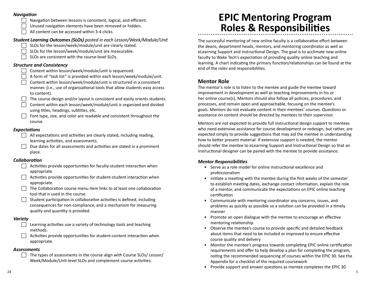#### *Naviga Ɵ on*

**Navigation between lessons is consistent, logical, and efficient.** 

□ Unused navigation elements have been removed or hidden.

 $\Box$  All content can be accessed within 3-4 clicks.

#### *Student Learning Outcomes (SLOs) posted in each Lesson/Week/Module/Unit*

SLOs for the lesson/week/module/unit are clearly stated.

- SLOs for the lesson/week/module/unit are measurable.
- SLOs are consistent with the course-level SLOs.

#### *Structure and Consistency*

- $\Box$  Content within lesson/week/module/unit is sequenced.
- $\Box$  A form of "task list" is provided within each lesson/week/module/unit.
- Content within lesson/week/module/unit is structured in a consistent manner. (i.e., use of organizational tools that allow students easy access to content).
- The course design and/or layout is consistent and easily orients students.
- Content within each lesson/week/module/unit is organized and divided using titles, headings, subtitles, etc.
- $\Box$  Font type, size, and color are readable and consistent throughout the course.

#### *Expecta Ɵ ons*

- $\Box$  All expectations and activities are clearly stated, including reading, learning activities, and assessments.
- $\Box$  Due dates for all assessments and activities are stated in a prominent place.

#### *CollaboraƟ on*

- $\Box$  Activities provide opportunities for faculty-student interaction when appropriate.
- $\Box$  Activities provide opportunities for student-student interaction when appropriate.
- $\Box$  The Collaboration course menu item links to at least one collaboration tool that is used in the course.
- $\Box$  Student participation in collaborative activities is defined, including consequences for non-compliance, and a mechanism for measuring quality and quantity is provided.

#### *Variety*

- $\Box$  Learning activities use a variety of technology tools and teaching methods.
- $\Box$  Activities provide opportunities for student-content interaction when appropriate.

#### *Assessments*

The types of assessments in the course align with Course SLOs/ Lesson/ Week/Module/Unit-level SLOs and complement course activities.

## **EPIC Mentoring Program Roles & Responsibili Ɵ es**

The successful mentoring of new online faculty is a collaborative effort between the deans, department heads, mentors, and mentoring coordinator as well as eLearning Support and Instructional Design. The goal is to acclimate new online faculty to Wake Tech's expectation of providing quality online teaching and learning. A chart indicating the primary function/relationships can be found at the end of the roles and responsibilities.

#### **Mentor Role**

The mentor's role is to listen to the mentee and guide the mentee toward improvement in development as well as teaching improvements in his or her online course(s). Mentors should also follow all policies, procedures, and processes, and remain open and approachable, focusing on the mentee's goals. Mentors do not evaluate content in their mentees' courses. Questions or assistance on content should be directed by mentees to their supervisor.

Mentors are not expected to provide full instructional design support to mentees who need extensive assistance for course development or redesign, but rather, are expected simply to provide suggestions that may aid the mentee in understanding how to better present material. If extensive support is needed, the mentor should refer the mentee to eLearning Support and Instructional Design so that an instructional designer can be paired with the mentee to provide assistance.

#### *Mentor Responsibili Ɵ es*

- Serve as a role model for online instructional excellence and professionalism
- Initiate a meeting with the mentee during the first weeks of the semester to establish meeting dates, exchange contact information, explain the role of a mentor, and communicate the expectations on EPIC online teaching certification
- Communicate with mentoring coordinator any concerns, issues, and problems as quickly as possible so a solution can be provided in a timely manner
- Promote an open dialogue with the mentee to encourage an effective mentoring relationship
- Observe the mentee's course to provide specific and detailed feedback about items that need to be included or improved to ensure effective course quality and delivery
- Monitor the mentee's progress towards completing EPIC online certification requirements and offer to help develop a plan for completing the program, no Ɵ ng the recommended sequencing of courses within the EPIC 30. See the Appendix for a checklist of the required coursework
- Provide support and answer questions as mentee completes the EPIC 30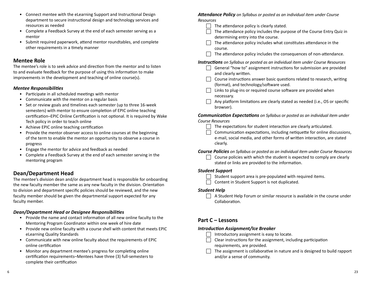- Connect mentee with the eLearning Support and Instructional Design department to secure instruc Ɵ onal design and technology services and resources as needed
- Complete a Feedback Survey at the end of each semester serving as a mentor
- Submit required paperwork, attend mentor roundtables, and complete other requirements in a timely manner

#### **Mentee Role**

The mentee's role is to seek advice and direction from the mentor and to listen to and evaluate feedback for the purpose of using this information to make improvements in the development and teaching of online course(s).

#### *Mentee Responsibili Ɵ es*

- Participate in all scheduled meetings with mentor
- Communicate with the mentor on a regular basis
- Set or review goals and timelines each semester (up to three 16-week semesters) with mentor to ensure completion of EPIC online teaching certification–EPIC Online Certification is not optional. It is required by Wake Tech policy in order to teach online
- Achieve EPIC online teaching certification
- Provide the mentor observer access to online courses at the beginning of the term to enable the mentor an opportunity to observe a course in progress
- Engage the mentor for advice and feedback as needed
- Complete a Feedback Survey at the end of each semester serving in the mentoring program

#### **Dean/Department Head**

The mentee's division dean and/or department head is responsible for onboarding the new faculty member the same as any new faculty in the division. Orientation to division and department specific policies should be reviewed, and the new faculty member should be given the departmental support expected for any faculty member.

#### *Dean/Department Head or Designee Responsibili Ɵ es*

- Provide the name and contact information of all new online faculty to the Mentoring Program Coordinator within one week of hire date
- Provide new online faculty with a course shell with content that meets EPIC eLearning Quality Standards
- Communicate with new online faculty about the requirements of EPIC online certification
- Monitor any department mentee's progress for completing online certification requirements–Mentees have three (3) full-semesters to complete their certification

*A Ʃ endance Policy on Syllabus or posted as an individual item under Course Resources*

- $\Box$  The attendance policy is clearly stated.
- $\Box$  The attendance policy includes the purpose of the Course Entry Quiz in determining entry into the course.
- $\Box$  The attendance policy includes what constitutes attendance in the course.
- $\Box$  The attendance policy includes the consequences of non-attendance.

*Instruc Ɵ ons on Syllabus or posted as an individual item under Course Resources*

- $\Box$  General "how to" assignment instructions for submission are provided and clearly written.
- $\Box$  Course instructions answer basic questions related to research, writing (format), and technology/software used.
- $\Box$  Links to plug-ins or required course software are provided when necessary.
- $\Box$  Any platform limitations are clearly stated as needed (i.e., OS or specific browser).

*Communica Ɵ on Expecta Ɵ ons on Syllabus or posted as an individual item under Course Resources*

- $\Box$  The expectations for student interaction are clearly articulated.
- $\Box$  Communication expectations, including netiquette for online discussions, e-mail, social media, and other forms of written interaction, are stated clearly.

*Course Policies on Syllabus or posted as an individual item under Course Resources*

Course policies with which the student is expected to comply are clearly stated or links are provided to the information.

#### *Student Support*

- $\Box$  Student support area is pre-populated with required items.
- $\Box$  Content in Student Support is not duplicated.

#### *Student Help*

 $\Box$  A Student Help Forum or similar resource is available in the course under Collaboration.

#### **Part C – Lessons**

#### *Introduc Ɵ on Assignment/Ice Breaker*

- $\Box$  Introductory assignment is easy to locate.
- $\Box$  Clear instructions for the assignment, including participation requirements, are provided.
- $\Box$  The assignment is collaborative in nature and is designed to build rapport
	- and/or a sense of community.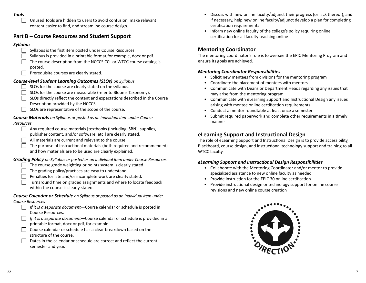#### *Tools*

 $\Box$  Unused Tools are hidden to users to avoid confusion, make relevant content easier to find, and streamline course design.

#### **Part B – Course Resources and Student Support**

#### *Syllabus*

- Syllabus is the first item posted under Course Resources.
- Syllabus is provided in a printable format, for example, docx or pdf.
- $\Box$  The course description from the NCCCS CCL or WTCC course catalog is posted.
- $\Box$  Prerequisite courses are clearly stated.

#### *Course-level Student Learning Outcomes (SLOs) on Syllabus*

- $\Box$  SLOs for the course are clearly stated on the syllabus.
- SLOs for the course are measurable (refer to Blooms Taxonomy).
- $\Box$  SLOs directly reflect the content and expectations described in the Course Description provided by the NCCCS.
- $\Box$  SLOs are representative of the scope of the course.

#### *Course Materials on Syllabus or posted as an individual item under Course Resources*

- $\Box$  Any required course materials [textbooks (including ISBN), supplies, publisher content, and/or software, etc.] are clearly stated.
- All materials are current and relevant to the course.
- The purpose of instructional materials (both required and recommended) and how materials are to be used are clearly explained.

#### *Grading Policy on Syllabus or posted as an individual item under Course Resources*

- The course grade weighting or points system is clearly stated.
- $\Box$  The grading policy/practices are easy to understand.
- $\Box$  Penalties for late and/or incomplete work are clearly stated.
- $\Box$  Turnaround time on graded assignments and where to locate feedback within the course is clearly stated.

#### *Course Calendar or Schedule on Syllabus or posted as an individual item under Course Resources*

- F *If it is a separate document—*Course calendar or schedule is posted in Course Resources.
- F *If it is a separate document—*Course calendar or schedule is provided in a printable format, docx or pdf, for example.
- $\Box$  Course calendar or schedule has a clear breakdown based on the structure of the course.
- Dates in the calendar or schedule are correct and reflect the current semester and year.
- Discuss with new online faculty/adjunct their progress (or lack thereof), and if necessary, help new online faculty/adjunct develop a plan for completing certification requirements
- Inform new online faculty of the college's policy requiring online certification for all faculty teaching online

#### **Mentoring Coordinator**

The mentoring coordinator's role is to oversee the EPIC Mentoring Program and ensure its goals are achieved.

#### *Mentoring Coordinator Responsibilities*

- Solicit new mentees from divisions for the mentoring program
- Coordinate the placement of mentees with mentors
- Communicate with Deans or Department Heads regarding any issues that may arise from the mentoring program
- Communicate with eLearning Support and Instructional Design any issues arising with mentee online certification requirements
- Conduct a mentor roundtable at least once a semester
- Submit required paperwork and complete other requirements in a timely manner

### **eLearning Support and Instructional Design**

The role of eLearning Support and Instructional Design is to provide accessibility, Blackboard, course design, and instructional technology support and training to all WTCC faculty.

#### *eLearning Support and Instructional Design Responsibilities*

- Collaborate with the Mentoring Coordinator and/or mentor to provide specialized assistance to new online faculty as needed
- Provide instruction for the EPIC 30 online certification
- Provide instructional design or technology support for online course revisions and new online course creation

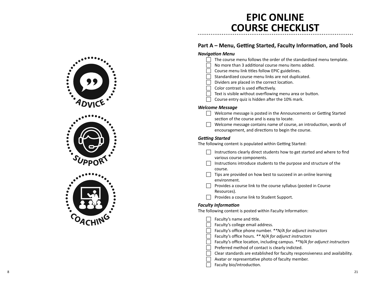### **EPIC ONLINE COURSE CHECKLIST**

#### **Part A – Menu, Ge ƫ ng Started, Faculty Informa Ɵ on, and Tools**

| <b>Navigation Menu</b><br>The course menu follows the order of the standardized menu template.<br>No more than 3 additional course menu items added.<br>Course menu link titles follow EPIC guidelines.<br>Standardized course menu links are not duplicated.<br>Dividers are placed in the correct location.<br>Color contrast is used effectively.<br>Text is visible without overflowing menu area or button.<br>Course entry quiz is hidden after the 10% mark. |
|---------------------------------------------------------------------------------------------------------------------------------------------------------------------------------------------------------------------------------------------------------------------------------------------------------------------------------------------------------------------------------------------------------------------------------------------------------------------|
| <b>Welcome Message</b><br>Welcome message is posted in the Announcements or Getting Started<br>section of the course and is easy to locate.<br>Welcome message contains name of course, an introduction, words of<br>encouragement, and directions to begin the course.                                                                                                                                                                                             |
| <b>Getting Started</b><br>The following content is populated within Getting Started:                                                                                                                                                                                                                                                                                                                                                                                |
| Instructions clearly direct students how to get started and where to find<br>various course components.<br>Instructions introduce students to the purpose and structure of the<br>course.<br>Tips are provided on how best to succeed in an online learning<br>environment.<br>$\Box$ Provides a course link to the course syllabus (posted in Course<br>Resources).<br>Provides a course link to Student Support.                                                  |
| <b>Faculty Information</b><br>The following content is posted within Faculty Information:                                                                                                                                                                                                                                                                                                                                                                           |
| Faculty's name and title.<br>Faculty's college email address.<br>Faculty's office phone number. **N/A for adjunct instructors<br>Faculty's office hours. ** N/A for adjunct instructors<br>Faculty's office location, including campus. ** N/A for adjunct instructors<br>Preferred method of contact is clearly indicted.<br>Clear standards are established for faculty responsiveness and availability.<br>Avatar or representative photo of faculty member.     |

 $\Box$  Faculty bio/introduction.

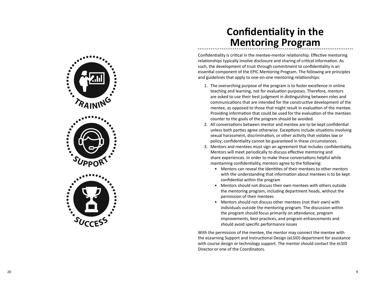

### **Con fi den Ɵ ality in the Mentoring Program**

Confidentiality is critical in the mentee-mentor relationship. Effective mentoring relationships typically involve disclosure and sharing of critical information. As such, the development of trust through commitment to confidentiality is an essential component of the EPIC Mentoring Program. The following are principles and guidelines that apply to one-on-one mentoring relationships:

- 1. The overarching purpose of the program is to foster excellence in online teaching and learning, not for evaluation purposes. Therefore, mentors are asked to use their best judgment in distinguishing between roles and communications that are intended for the constructive development of the mentee, as opposed to those that might result in evaluation of the mentee. Providing information that could be used for the evaluation of the mentees counter to the goals of the program should be avoided.
- 2. All conversations between mentor and mentee are to be kept confidential unless both parties agree otherwise. Exceptions include situations involving sexual harassment, discrimination, or other activity that violates law or policy; confidentiality cannot be guaranteed in these circumstances.
- 3. Mentors and mentees must sign an agreement that includes confidentiality. Mentors will meet periodically to discuss effective mentoring and share experiences. In order to make these conversations helpful while maintaining confidentiality, mentors agree to the following:
	- Mentors can reveal the identities of their mentees to other mentors with the understanding that information about mentees is to be kept confidential within the program
	- Mentors should not discuss their own mentees with others outside the mentoring program, including department heads, without the permission of their mentees
	- Mentors should not discuss other mentees (not their own) with individuals outside the mentoring program. The discussion within the program should focus primarily on attendance, program improvements, best practices, and program enhancements and should avoid specific performance issues

With the permission of the mentee, the mentor may connect the mentee with the eLearning Support and Instructional Design (eLSID) department for assistance with course design or technology support. The mentor should contact the eLSID Director or one of the Coordinators.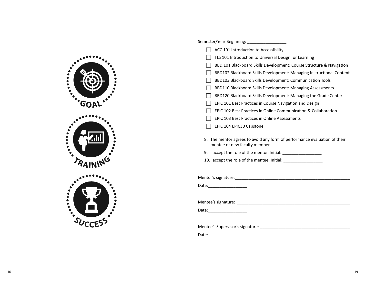

| ACC 101 Introduction to Accessibility                                                                                                                                                                                                                                              |
|------------------------------------------------------------------------------------------------------------------------------------------------------------------------------------------------------------------------------------------------------------------------------------|
| TLS 101 Introduction to Universal Design for Learning                                                                                                                                                                                                                              |
| BBD.101 Blackboard Skills Development: Course Structure & Navigation                                                                                                                                                                                                               |
| BBD102 Blackboard Skills Development: Managing Instructional Content                                                                                                                                                                                                               |
| BBD103 Blackboard Skills Development: Communication Tools                                                                                                                                                                                                                          |
| BBD110 Blackboard Skills Development: Managing Assessments                                                                                                                                                                                                                         |
| BBD120 Blackboard Skills Development: Managing the Grade Center                                                                                                                                                                                                                    |
| EPIC 101 Best Practices in Course Navigation and Design                                                                                                                                                                                                                            |
| EPIC 102 Best Practices in Online Communication & Collaboration                                                                                                                                                                                                                    |
| EPIC 103 Best Practices in Online Assessments                                                                                                                                                                                                                                      |
| EPIC 104 EPIC30 Capstone                                                                                                                                                                                                                                                           |
| 8. The mentor agrees to avoid any form of performance evaluation of their<br>mentee or new faculty member.<br>9. I accept the role of the mentor. Initial: ___________________________________<br>10.1 accept the role of the mentee. Initial: ___________________________________ |
|                                                                                                                                                                                                                                                                                    |
| Date: _____________________                                                                                                                                                                                                                                                        |
|                                                                                                                                                                                                                                                                                    |
| Mentee's signature: Mentee's signature:                                                                                                                                                                                                                                            |
| Date:___________________                                                                                                                                                                                                                                                           |
|                                                                                                                                                                                                                                                                                    |
|                                                                                                                                                                                                                                                                                    |
| Date:                                                                                                                                                                                                                                                                              |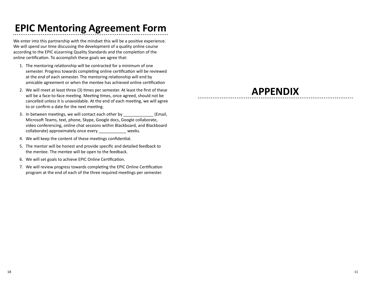# **EPIC Mentoring Agreement Form**

We enter into this partnership with the mindset this will be a positive experience. We will spend our time discussing the development of a quality online course according to the EPIC eLearning Quality Standards and the completion of the online certification. To accomplish these goals we agree that:

- 1. The mentoring relationship will be contracted for a minimum of one semester. Progress towards completing online certification will be reviewed at the end of each semester. The mentoring relationship will end by amicable agreement or when the mentee has achieved online certification
- 2. We will meet at least three (3) times per semester. At least the first of these will be a face-to-face meeting. Meeting times, once agreed, should not be cancelled unless it is unavoidable. At the end of each meeting, we will agree to or confirm a date for the next meeting.
- 3. In between meetings, we will contact each other by **Email** Microsoft Teams, text, phone, Skype, Google docs, Google collaborate, video conferencing, online chat sessions within Blackboard, and Blackboard collaborate) approximately once every \_\_\_\_\_\_\_\_\_\_\_\_ weeks.
- 4. We will keep the content of these meetings confidential.
- 5. The mentor will be honest and provide specific and detailed feedback to the mentee. The mentee will be open to the feedback.
- 6. We will set goals to achieve EPIC Online Certification.
- 7. We will review progress towards completing the EPIC Online Certification program at the end of each of the three required meetings per semester.

### **APPENDIX**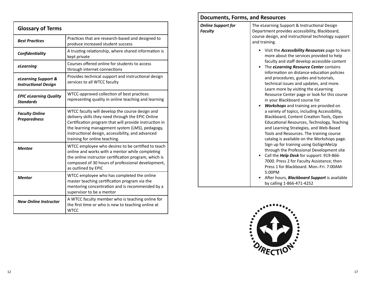| <b>Glossary of Terms</b>                           |                                                                                                                                                                                                                                                                                                         |  |  |  |  |
|----------------------------------------------------|---------------------------------------------------------------------------------------------------------------------------------------------------------------------------------------------------------------------------------------------------------------------------------------------------------|--|--|--|--|
| <b>Best Practices</b>                              | Practices that are research-based and designed to<br>produce increased student success                                                                                                                                                                                                                  |  |  |  |  |
| Confidentiality                                    | A trusting relationship, where shared information is<br>kept private                                                                                                                                                                                                                                    |  |  |  |  |
| eLearning                                          | Courses offered online for students to access<br>through internet connections                                                                                                                                                                                                                           |  |  |  |  |
| eLearning Support &<br><b>Instructional Design</b> | Provides technical support and instructional design<br>services to all WTCC faculty                                                                                                                                                                                                                     |  |  |  |  |
| <b>EPIC eLearning Quality</b><br><b>Standards</b>  | WTCC-approved collection of best practices<br>representing quality in online teaching and learning                                                                                                                                                                                                      |  |  |  |  |
| <b>Faculty Online</b><br><b>Preparedness</b>       | WTCC faculty will develop the course design and<br>delivery skills they need through the EPIC Online<br>Certification program that will provide instruction in<br>the learning management system (LMS), pedagogy,<br>instructional design, accessibility, and advanced<br>training for online teaching. |  |  |  |  |
| <b>Mentee</b>                                      | WTCC employee who desires to be certified to teach<br>online and works with a mentor while completing<br>the online instructor certification program, which is<br>composed of 30 hours of professional development,<br>as outlined by EPIC                                                              |  |  |  |  |
| <b>Mentor</b>                                      | WTCC employee who has completed the online<br>master teaching certification program via the<br>mentoring concentration and is recommended by a<br>supervisor to be a mentor                                                                                                                             |  |  |  |  |
| <b>New Online Instructor</b>                       | A WTCC faculty member who is teaching online for<br>the first time or who is new to teaching online at<br><b>WTCC</b>                                                                                                                                                                                   |  |  |  |  |

| <b>Documents, Forms, and Resources</b>      |                                                                                                                                                                                                                                                                                                                                                                                                                                                                                                                                                                                                                                                                                                                                                                                                                                                                                                                                                                                                                                                          |  |  |  |
|---------------------------------------------|----------------------------------------------------------------------------------------------------------------------------------------------------------------------------------------------------------------------------------------------------------------------------------------------------------------------------------------------------------------------------------------------------------------------------------------------------------------------------------------------------------------------------------------------------------------------------------------------------------------------------------------------------------------------------------------------------------------------------------------------------------------------------------------------------------------------------------------------------------------------------------------------------------------------------------------------------------------------------------------------------------------------------------------------------------|--|--|--|
| <b>Online Support for</b><br><b>Faculty</b> | The eLearning Support & Instructional Design<br>Department provides accessibility, Blackboard,<br>course design, and instructional technology support<br>and training.                                                                                                                                                                                                                                                                                                                                                                                                                                                                                                                                                                                                                                                                                                                                                                                                                                                                                   |  |  |  |
|                                             | Visit the <b>Accessibility Resources</b> page to learn<br>more about the services provided to help<br>faculty and staff develop accessible content<br>The <i>eLearning Resource Center</i> contains<br>$\bullet$<br>information on distance education policies<br>and procedures, guides and tutorials,<br>technical issues and updates, and more.<br>Learn more by visiting the eLearning<br>Resource Center page or look for this course<br>in your Blackboard course list<br>Workshops and training are provided on<br>a variety of topics, including Accessibility,<br>Blackboard, Content Creation Tools, Open<br>Educational Resources, Technology, Teaching<br>and Learning Strategies, and Web-Based<br>Tools and Resources. The training course<br>catalog is available on the Workshops page.<br>Sign up for training using GoSignMeUp<br>through the Professional Development site<br>Call the <i>Help Desk</i> for support: 919-866-<br>$\bullet$<br>7000. Press 2 for Faculty Assistance; then<br>Press 1 for Blackboard, Mon.-Fri. 7:00AM- |  |  |  |
|                                             | 5:00PM<br>After hours, <b>Blackboard Support</b> is available<br>by calling 1-866-471-4252                                                                                                                                                                                                                                                                                                                                                                                                                                                                                                                                                                                                                                                                                                                                                                                                                                                                                                                                                               |  |  |  |

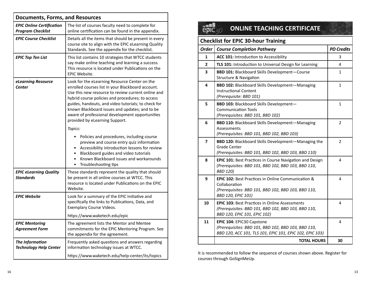| <b>Documents, Forms, and Resources</b>                       |                                                                                                                                                                                                                                                                                                                                                                                                            |  |  |  |
|--------------------------------------------------------------|------------------------------------------------------------------------------------------------------------------------------------------------------------------------------------------------------------------------------------------------------------------------------------------------------------------------------------------------------------------------------------------------------------|--|--|--|
| <b>EPIC Online Certification</b><br><b>Program Checklist</b> | The list of courses faculty need to complete for<br>online certification can be found in the appendix.                                                                                                                                                                                                                                                                                                     |  |  |  |
| <b>EPIC Course Checklist</b>                                 | Details all the items that should be present in every<br>course site to align with the EPIC eLearning Quality<br>Standards. See the appendix for the checklist.                                                                                                                                                                                                                                            |  |  |  |
| <b>EPIC Top Ten List</b>                                     | This list contains 10 strategies that WTCC students<br>say make online teaching and learning a success.<br>This resource is located under Publications on the<br>EPIC Website.                                                                                                                                                                                                                             |  |  |  |
| eLearning Resource<br>Center                                 | Look for the eLearning Resource Center on the<br>enrolled courses list in your Blackboard account.<br>Use this new resource to review current online and<br>hybrid course policies and procedures; to access<br>guides, handouts, and video tutorials; to check for<br>known Blackboard issues and updates; and to be<br>aware of professional development opportunities<br>provided by eLearning Support. |  |  |  |
|                                                              | Topics:<br>Policies and procedures, including course<br>preview and course entry quiz information<br>Accessibility introduction lessons for review<br>Blackboard guides and video tutorials<br>Known Blackboard issues and workarounds<br>Troubleshooting tips<br>$\bullet$                                                                                                                                |  |  |  |
| <b>EPIC eLearning Quality</b><br><b>Standards</b>            | These standards represent the quality that should<br>be present in all online courses at WTCC. This<br>resource is located under Publications on the EPIC<br>Website.                                                                                                                                                                                                                                      |  |  |  |
| <b>EPIC Website</b>                                          | Look for a summary of the EPIC Initiative and<br>specifically the links to Publications, Data, and<br>Exemplary Course Videos.                                                                                                                                                                                                                                                                             |  |  |  |
|                                                              | https://www.waketech.edu/epic                                                                                                                                                                                                                                                                                                                                                                              |  |  |  |
| <b>EPIC Mentoring</b><br><b>Agreement Form</b>               | The agreement lists the Mentor and Mentee<br>commitments for the EPIC Mentoring Program. See<br>the appendix for the agreement.                                                                                                                                                                                                                                                                            |  |  |  |
| The Information<br><b>Technology Help Center</b>             | Frequently asked questions and answers regarding<br>information technology issues at WTCC.                                                                                                                                                                                                                                                                                                                 |  |  |  |
|                                                              | https://www.waketech.edu/help-center/its/topics                                                                                                                                                                                                                                                                                                                                                            |  |  |  |

| <b>ONLINE TEACHING CERTIFICATE</b>         |                                                                                                                                                                    |                   |  |  |  |  |
|--------------------------------------------|--------------------------------------------------------------------------------------------------------------------------------------------------------------------|-------------------|--|--|--|--|
| <b>Checklist for EPIC 30-hour Training</b> |                                                                                                                                                                    |                   |  |  |  |  |
| <b>Order</b>                               | <b>Course Completion Pathway</b>                                                                                                                                   | <b>PD Credits</b> |  |  |  |  |
| 1                                          | ACC 101: Introduction to Accessibility                                                                                                                             | 3                 |  |  |  |  |
| $\overline{2}$                             | TLS 101: Introduction to Universal Design for Learning                                                                                                             | 4                 |  |  |  |  |
| 3                                          | <b>BBD 101: Blackboard Skills Development-Course</b><br><b>Structure &amp; Navigation</b>                                                                          | 1                 |  |  |  |  |
| 4                                          | <b>BBD 102: Blackboard Skills Development-Managing</b><br><b>Instructional Content</b><br>(Prerequisite: BBD 101)                                                  | 1                 |  |  |  |  |
| 5                                          | <b>BBD 103: Blackboard Skills Development-</b><br><b>Communication Tools</b><br>(Prerequisites: BBD 101, BBD 102)                                                  | 1                 |  |  |  |  |
| 6                                          | <b>BBD 110: Blackboard Skills Development-Managing</b><br>Assessments<br>(Prerequisites: BBD 101, BBD 102, BBD 103)                                                | $\overline{2}$    |  |  |  |  |
| 7                                          | <b>BBD 120:</b> Blackboard Skills Development-Managing the<br>Grade Center<br>(Prerequisites: BBD 101, BBD 102, BBD 103, BBD 110)                                  | $\overline{2}$    |  |  |  |  |
| 8                                          | <b>EPIC 101: Best Practices in Course Navigation and Design</b><br>(Prerequisites: BBD 101, BBD 102, BBD 103, BBD 110,<br><b>BBD 120)</b>                          | 4                 |  |  |  |  |
| 9                                          | <b>EPIC 102: Best Practices in Online Communication &amp;</b><br>Collaboration<br>(Prerequisites: BBD 101, BBD 102, BBD 103, BBD 110,<br><b>BBD 120, EPIC 101)</b> | 4                 |  |  |  |  |
| 10                                         | <b>EPIC 103: Best Practices in Online Assessments</b><br>(Prerequisites: BBD 101, BBD 102, BBD 103, BBD 110,<br>BBD 120, EPIC 101, EPIC 102)                       | 4                 |  |  |  |  |
| 11                                         | EPIC 104: EPIC30 Capstone<br>(Prerequisites: BBD 101, BBD 102, BBD 103, BBD 110,<br>BBD 120, ACC 101, TLS 101, EPIC 101, EPIC 102, EPIC 103)                       | 4                 |  |  |  |  |
|                                            | <b>TOTAL HOURS</b>                                                                                                                                                 | 30                |  |  |  |  |

It is recommended to follow the sequence of courses shown above. Register for courses through GoSignMeUp.